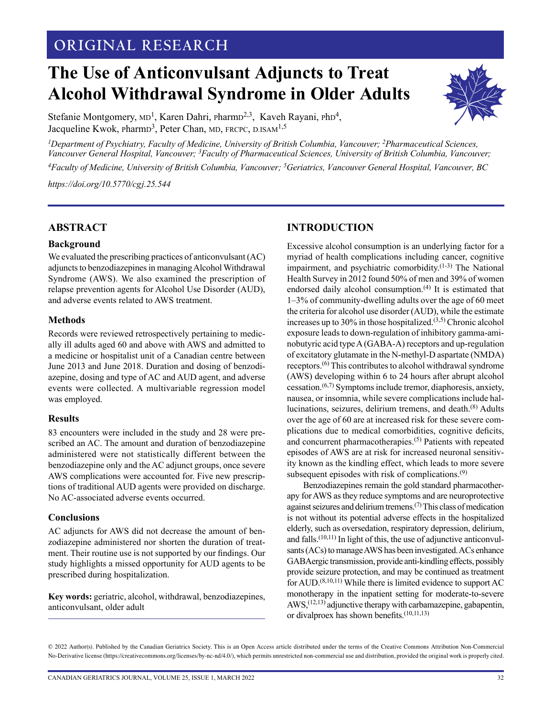# MONTGOMERY: ANTICONVULSANTS FOR AWS IN OLDER ADULTS **ORIGINAL RESEARCH**

# **The Use of Anticonvulsant Adjuncts to Treat Alcohol Withdrawal Syndrome in Older Adults**



Stefanie Montgomery, MD<sup>1</sup>, Karen Dahri, PharmD<sup>2,3</sup>, Kaveh Rayani, PhD<sup>4</sup>, Jacqueline Kwok, pharm $D^3$ , Peter Chan, MD, FRCPC, D.ISAM<sup>1,5</sup>

*<sup>1</sup>Department of Psychiatry, Faculty of Medicine, University of British Columbia, Vancouver; <sup>2</sup>Pharmaceutical Sciences, Vancouver General Hospital, Vancouver; <sup>3</sup>Faculty of Pharmaceutical Sciences, University of British Columbia, Vancouver; <sup>4</sup>Faculty of Medicine, University of British Columbia, Vancouver; <sup>5</sup>Geriatrics, Vancouver General Hospital, Vancouver, BC*

*[https://doi.org/10.5770/cgj.2](https://doi.org/10.5770/cgj.25.544)5.544*

## **ABSTRACT**

#### **Background**

We evaluated the prescribing practices of anticonvulsant (AC) adjuncts to benzodiazepines in managing Alcohol Withdrawal Syndrome (AWS). We also examined the prescription of relapse prevention agents for Alcohol Use Disorder (AUD), and adverse events related to AWS treatment.

#### **Methods**

Records were reviewed retrospectively pertaining to medically ill adults aged 60 and above with AWS and admitted to a medicine or hospitalist unit of a Canadian centre between June 2013 and June 2018. Duration and dosing of benzodiazepine, dosing and type of AC and AUD agent, and adverse events were collected. A multivariable regression model was employed.

#### **Results**

83 encounters were included in the study and 28 were prescribed an AC. The amount and duration of benzodiazepine administered were not statistically different between the benzodiazepine only and the AC adjunct groups, once severe AWS complications were accounted for. Five new prescriptions of traditional AUD agents were provided on discharge. No AC-associated adverse events occurred.

#### **Conclusions**

AC adjuncts for AWS did not decrease the amount of benzodiazepine administered nor shorten the duration of treatment. Their routine use is not supported by our findings. Our study highlights a missed opportunity for AUD agents to be prescribed during hospitalization.

**Key words:** geriatric, alcohol, withdrawal, benzodiazepines, anticonvulsant, older adult

# **INTRODUCTION**

Excessive alcohol consumption is an underlying factor for a myriad of health complications including cancer, cognitive impairment, and psychiatric comorbidity.(1-3) The National Health Survey in 2012 found 50% of men and 39% of women endorsed daily alcohol consumption.<sup>(4)</sup> It is estimated that 1–3% of community-dwelling adults over the age of 60 meet the criteria for alcohol use disorder (AUD), while the estimate increases up to 30% in those hospitalized.(3,5) Chronic alcohol exposure leads to down-regulation of inhibitory gamma-aminobutyric acid type A (GABA-A) receptors and up-regulation of excitatory glutamate in the N-methyl-D aspartate (NMDA) receptors.(6) This contributes to alcohol withdrawal syndrome (AWS) developing within 6 to 24 hours after abrupt alcohol cessation.<sup> $(6,7)$ </sup> Symptoms include tremor, diaphoresis, anxiety, nausea, or insomnia, while severe complications include hallucinations, seizures, delirium tremens, and death.(8) Adults over the age of 60 are at increased risk for these severe complications due to medical comorbidities, cognitive deficits, and concurrent pharmacotherapies.(5) Patients with repeated episodes of AWS are at risk for increased neuronal sensitivity known as the kindling effect, which leads to more severe subsequent episodes with risk of complications.<sup>(9)</sup>

Benzodiazepines remain the gold standard pharmacotherapy for AWS as they reduce symptoms and are neuroprotective against seizures and delirium tremens.(7) This class of medication is not without its potential adverse effects in the hospitalized elderly, such as oversedation, respiratory depression, delirium, and falls.<sup> $(10,11)$ </sup> In light of this, the use of adjunctive anticonvulsants (ACs) to manage AWS has been investigated. ACs enhance GABAergic transmission, provide anti-kindling effects, possibly provide seizure protection, and may be continued as treatment for AUD.(8,10,11) While there is limited evidence to support AC monotherapy in the inpatient setting for moderate-to-severe  $AWS<sub>1</sub><sup>(12,13)</sup>$  adjunctive therapy with carbamazepine, gabapentin, or divalproex has shown benefits.(10,11,13)

© 2022 Author(s). Published by the Canadian Geriatrics Society. This is an Open Access article distributed under the terms of the Creative Commons Attribution Non-Commercial No-Derivative license (https://creativecommons.org/licenses/by-nc-nd/4.0/), which permits unrestricted non-commercial use and distribution, provided the original work is properly cited.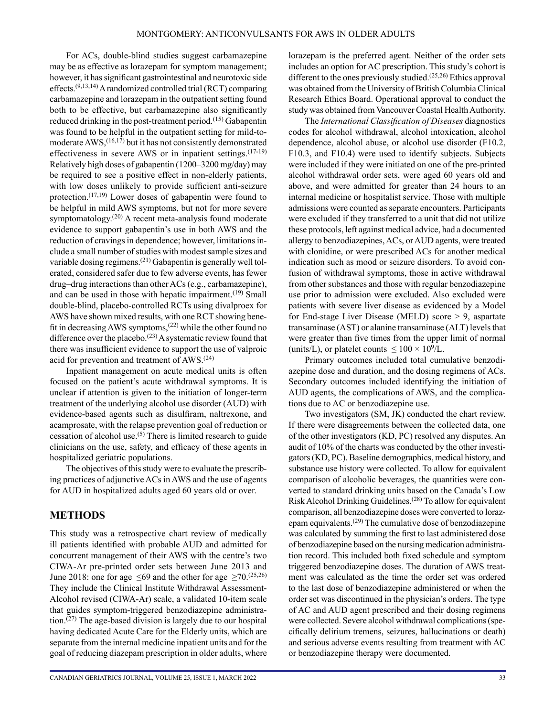For ACs, double-blind studies suggest carbamazepine may be as effective as lorazepam for symptom management; however, it has significant gastrointestinal and neurotoxic side effects.<sup> $(9,13,14)$ </sup> A randomized controlled trial (RCT) comparing carbamazepine and lorazepam in the outpatient setting found both to be effective, but carbamazepine also significantly reduced drinking in the post-treatment period.<sup>(15)</sup> Gabapentin was found to be helpful in the outpatient setting for mild-tomoderate AWS,  $(16,17)$  but it has not consistently demonstrated effectiveness in severe AWS or in inpatient settings.<sup>(17-19)</sup> Relatively high doses of gabapentin (1200–3200 mg/day) may be required to see a positive effect in non-elderly patients, with low doses unlikely to provide sufficient anti-seizure protection.<sup>(17,19)</sup> Lower doses of gabapentin were found to be helpful in mild AWS symptoms, but not for more severe symptomatology.<sup>(20)</sup> A recent meta-analysis found moderate evidence to support gabapentin's use in both AWS and the reduction of cravings in dependence; however, limitations include a small number of studies with modest sample sizes and variable dosing regimens.(21) Gabapentin is generally well tolerated, considered safer due to few adverse events, has fewer drug–drug interactions than other ACs (e.g., carbamazepine), and can be used in those with hepatic impairment.<sup>(19)</sup> Small double-blind, placebo-controlled RCTs using divalproex for AWS have shown mixed results, with one RCT showing benefit in decreasing AWS symptoms,<sup>(22)</sup> while the other found no difference over the placebo.<sup>(23)</sup> A systematic review found that there was insufficient evidence to support the use of valproic acid for prevention and treatment of AWS.(24)

Inpatient management on acute medical units is often focused on the patient's acute withdrawal symptoms. It is unclear if attention is given to the initiation of longer-term treatment of the underlying alcohol use disorder (AUD) with evidence-based agents such as disulfiram, naltrexone, and acamprosate, with the relapse prevention goal of reduction or cessation of alcohol use.<sup> $(5)$ </sup> There is limited research to guide clinicians on the use, safety, and efficacy of these agents in hospitalized geriatric populations.

The objectives of this study were to evaluate the prescribing practices of adjunctive ACs in AWS and the use of agents for AUD in hospitalized adults aged 60 years old or over.

## **METHODS**

This study was a retrospective chart review of medically ill patients identified with probable AUD and admitted for concurrent management of their AWS with the centre's two CIWA-Ar pre-printed order sets between June 2013 and June 2018: one for age  $\leq 69$  and the other for age  $\geq 70$ .<sup>(25,26)</sup> They include the Clinical Institute Withdrawal Assessment-Alcohol revised (CIWA-Ar) scale, a validated 10-item scale that guides symptom-triggered benzodiazepine administration.<sup> $(27)$ </sup> The age-based division is largely due to our hospital having dedicated Acute Care for the Elderly units, which are separate from the internal medicine inpatient units and for the goal of reducing diazepam prescription in older adults, where lorazepam is the preferred agent. Neither of the order sets includes an option for AC prescription. This study's cohort is different to the ones previously studied.<sup>(25,26)</sup> Ethics approval was obtained from the University of British Columbia Clinical Research Ethics Board. Operational approval to conduct the study was obtained from Vancouver Coastal Health Authority.

The *International Classification of Diseases* diagnostics codes for alcohol withdrawal, alcohol intoxication, alcohol dependence, alcohol abuse, or alcohol use disorder (F10.2, F10.3, and F10.4) were used to identify subjects. Subjects were included if they were initiated on one of the pre-printed alcohol withdrawal order sets, were aged 60 years old and above, and were admitted for greater than 24 hours to an internal medicine or hospitalist service. Those with multiple admissions were counted as separate encounters. Participants were excluded if they transferred to a unit that did not utilize these protocols, left against medical advice, had a documented allergy to benzodiazepines, ACs, or AUD agents, were treated with clonidine, or were prescribed ACs for another medical indication such as mood or seizure disorders. To avoid confusion of withdrawal symptoms, those in active withdrawal from other substances and those with regular benzodiazepine use prior to admission were excluded. Also excluded were patients with severe liver disease as evidenced by a Model for End-stage Liver Disease (MELD) score > 9, aspartate transaminase (AST) or alanine transaminase (ALT) levels that were greater than five times from the upper limit of normal (units/L), or platelet counts  $\leq 100 \times 10^9$ /L.

Primary outcomes included total cumulative benzodiazepine dose and duration, and the dosing regimens of ACs. Secondary outcomes included identifying the initiation of AUD agents, the complications of AWS, and the complications due to AC or benzodiazepine use.

Two investigators (SM, JK) conducted the chart review. If there were disagreements between the collected data, one of the other investigators (KD, PC) resolved any disputes. An audit of 10% of the charts was conducted by the other investigators (KD, PC). Baseline demographics, medical history, and substance use history were collected. To allow for equivalent comparison of alcoholic beverages, the quantities were converted to standard drinking units based on the Canada's Low Risk Alcohol Drinking Guidelines.(28) To allow for equivalent comparison, all benzodiazepine doses were converted to lorazepam equivalents.(29) The cumulative dose of benzodiazepine was calculated by summing the first to last administered dose of benzodiazepine based on the nursing medication administration record. This included both fixed schedule and symptom triggered benzodiazepine doses. The duration of AWS treatment was calculated as the time the order set was ordered to the last dose of benzodiazepine administered or when the order set was discontinued in the physician's orders. The type of AC and AUD agent prescribed and their dosing regimens were collected. Severe alcohol withdrawal complications (specifically delirium tremens, seizures, hallucinations or death) and serious adverse events resulting from treatment with AC or benzodiazepine therapy were documented.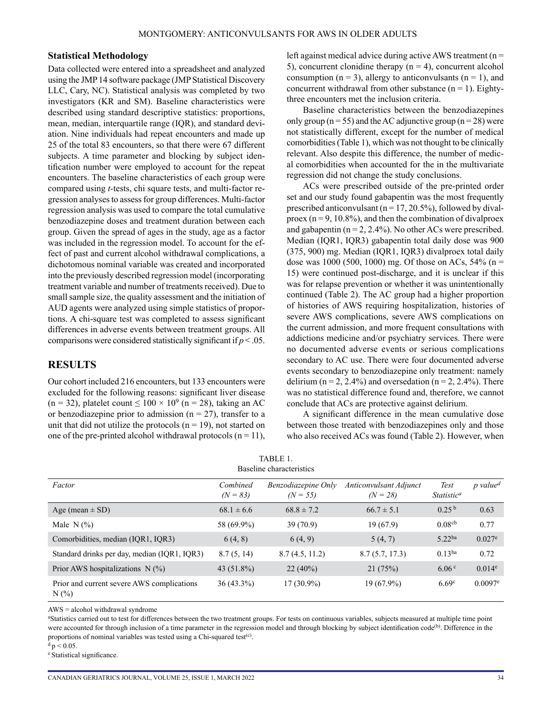#### **Statistical Methodology**

Data collected were entered into a spreadsheet and analyzed using the JMP 14 software package (JMP Statistical Discovery LLC, Cary, NC). Statistical analysis was completed by two investigators (KR and SM). Baseline characteristics were described using standard descriptive statistics: proportions, mean, median, interquartile range (IQR), and standard deviation. Nine individuals had repeat encounters and made up 25 of the total 83 encounters, so that there were 67 different subjects. A time parameter and blocking by subject identification number were employed to account for the repeat encounters. The baseline characteristics of each group were compared using *t-*tests, chi square tests, and multi-factor regression analyses to assess for group differences. Multi-factor regression analysis was used to compare the total cumulative benzodiazepine doses and treatment duration between each group. Given the spread of ages in the study, age as a factor was included in the regression model. To account for the effect of past and current alcohol withdrawal complications, a dichotomous nominal variable was created and incorporated into the previously described regression model (incorporating treatment variable and number of treatments received). Due to small sample size, the quality assessment and the initiation of AUD agents were analyzed using simple statistics of proportions. A chi-square test was completed to assess significant differences in adverse events between treatment groups. All comparisons were considered statistically significant if  $p < .05$ .

## **RESULTS**

Our cohort included 216 encounters, but 133 encounters were excluded for the following reasons: significant liver disease  $(n = 32)$ , platelet count  $\leq 100 \times 10^9$   $(n = 28)$ , taking an AC or benzodiazepine prior to admission ( $n = 27$ ), transfer to a unit that did not utilize the protocols  $(n = 19)$ , not started on one of the pre-printed alcohol withdrawal protocols  $(n = 11)$ , left against medical advice during active AWS treatment (n = 5), concurrent clonidine therapy  $(n = 4)$ , concurrent alcohol consumption ( $n = 3$ ), allergy to anticonvulsants ( $n = 1$ ), and concurrent withdrawal from other substance  $(n = 1)$ . Eightythree encounters met the inclusion criteria.

Baseline characteristics between the benzodiazepines only group ( $n = 55$ ) and the AC adjunctive group ( $n = 28$ ) were not statistically different, except for the number of medical comorbidities (Table 1), which was not thought to be clinically relevant. Also despite this difference, the number of medical comorbidities when accounted for the in the multivariate regression did not change the study conclusions.

ACs were prescribed outside of the pre-printed order set and our study found gabapentin was the most frequently prescribed anticonvulsant ( $n = 17, 20.5\%$ ), followed by divalproex  $(n = 9, 10.8\%)$ , and then the combination of divalproex and gabapentin ( $n = 2, 2.4\%$ ). No other ACs were prescribed. Median (IQR1, IQR3) gabapentin total daily dose was 900 (375, 900) mg. Median (IQR1, IQR3) divalproex total daily dose was 1000 (500, 1000) mg. Of those on ACs,  $54\%$  (n = 15) were continued post-discharge, and it is unclear if this was for relapse prevention or whether it was unintentionally continued (Table 2). The AC group had a higher proportion of histories of AWS requiring hospitalization, histories of severe AWS complications, severe AWS complications on the current admission, and more frequent consultations with addictions medicine and/or psychiatry services. There were no documented adverse events or serious complications secondary to AC use. There were four documented adverse events secondary to benzodiazepine only treatment: namely delirium (n = 2, 2.4%) and oversedation (n = 2, 2.4%). There was no statistical difference found and, therefore, we cannot conclude that ACs are protective against delirium.

A significant difference in the mean cumulative dose between those treated with benzodiazepines only and those who also received ACs was found (Table 2). However, when

| TABLE 1.                 |
|--------------------------|
| Baseline characteristics |

| Factor                                                | Combined<br>$(N = 83)$ | Benzodiazepine Only<br>$(N = 55)$ | <b>Anticonvulsant Adjunct</b><br>$(N = 28)$ | Test<br><i>Statistic</i> <sup><i>a</i></sup> | $p$ value <sup>d</sup> |
|-------------------------------------------------------|------------------------|-----------------------------------|---------------------------------------------|----------------------------------------------|------------------------|
|                                                       |                        |                                   |                                             |                                              |                        |
| Age (mean $\pm$ SD)                                   | $68.1 \pm 6.6$         | $68.8 \pm 7.2$                    | $66.7 \pm 5.1$                              | 0.25 <sup>b</sup>                            | 0.63                   |
| Male $N$ (%)                                          | 58 (69.9%)             | 39(70.9)                          | 19(67.9)                                    | 0.08 <sup>cb</sup>                           | 0.77                   |
| Comorbidities, median (IQR1, IQR3)                    | 6(4, 8)                | 6(4, 9)                           | 5(4, 7)                                     | $5.22^{ba}$                                  | $0.027^e$              |
| Standard drinks per day, median (IQR1, IQR3)          | 8.7(5, 14)             | 8.7(4.5, 11.2)                    | 8.7(5.7, 17.3)                              | 0.13 <sup>ba</sup>                           | 0.72                   |
| Prior AWS hospitalizations $N(\%)$                    | 43 $(51.8\%)$          | $22(40\%)$                        | 21(75%)                                     | 6.06 <sup>c</sup>                            | $0.014^e$              |
| Prior and current severe AWS complications<br>$N(\%)$ | $36(43.3\%)$           | $17(30.9\%)$                      | 19 (67.9%)                                  | 6.69 <sup>c</sup>                            | $0.0097$ <sup>e</sup>  |

AWS = alcohol withdrawal syndrome

a Statistics carried out to test for differences between the two treatment groups. For tests on continuous variables, subjects measured at multiple time point were accounted for through inclusion of a time parameter in the regression model and through blocking by subject identification code<sup>(b)</sup>. Difference in the proportions of nominal variables was tested using a Chi-squared test<sup>(c)</sup>.

 $d p < 0.05$ .

<sup>e</sup> Statistical significance.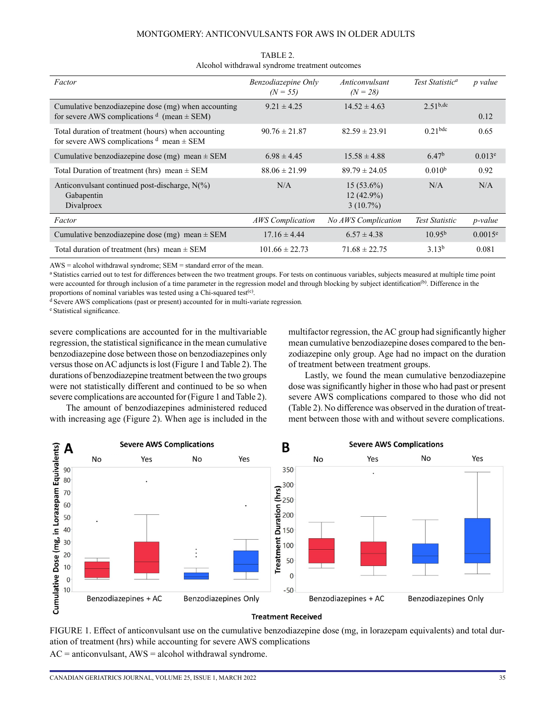#### MONTGOMERY: ANTICONVULSANTS FOR AWS IN OLDER ADULTS

| Factor                                                                                                   | Benzodiazepine Only<br>$(N = 55)$ | Anticonvulsant<br>$(N = 28)$                | Test Statistic <sup>a</sup> | <i>p</i> value |
|----------------------------------------------------------------------------------------------------------|-----------------------------------|---------------------------------------------|-----------------------------|----------------|
| Cumulative benzodiazepine dose (mg) when accounting<br>for severe AWS complications $d$ (mean $\pm$ SEM) | $9.21 \pm 4.25$                   | $14.52 \pm 4.63$                            | 2.51 <sup>b,dc</sup>        | 0.12           |
| Total duration of treatment (hours) when accounting<br>for severe AWS complications $d$ mean $\pm$ SEM   | $90.76 \pm 21.87$                 | $82.59 \pm 23.91$                           | $0.21$ bdc                  | 0.65           |
| Cumulative benzodiazepine dose (mg) mean $\pm$ SEM                                                       | $6.98 \pm 4.45$                   | $15.58 \pm 4.88$                            | 6.47 <sup>b</sup>           | $0.013^e$      |
| Total Duration of treatment (hrs) mean $\pm$ SEM                                                         | $88.06 \pm 21.99$                 | $89.79 \pm 24.05$                           | 0.010 <sup>b</sup>          | 0.92           |
| Anticonvulsant continued post-discharge, $N(\%)$<br>Gabapentin<br>Divalproex                             | N/A                               | $15(53.6\%)$<br>$12(42.9\%)$<br>$3(10.7\%)$ | N/A                         | N/A            |
| Factor                                                                                                   | <b>AWS</b> Complication           | <b>No AWS Complication</b>                  | <b>Test Statistic</b>       | p-value        |
| Cumulative benzodiazepine dose (mg) mean $\pm$ SEM                                                       | $17.16 \pm 4.44$                  | $6.57 \pm 4.38$                             | 10.95 <sup>b</sup>          | 0.0015e        |
| Total duration of treatment (hrs) mean $\pm$ SEM                                                         | $101.66 \pm 22.73$                | $71.68 \pm 22.75$                           | 3.13 <sup>b</sup>           | 0.081          |

TABLE 2. Alcohol withdrawal syndrome treatment outcomes

AWS = alcohol withdrawal syndrome; SEM = standard error of the mean.

a Statistics carried out to test for differences between the two treatment groups. For tests on continuous variables, subjects measured at multiple time point were accounted for through inclusion of a time parameter in the regression model and through blocking by subject identification<sup>(b)</sup>. Difference in the proportions of nominal variables was tested using a Chi-squared test<sup>(c)</sup>.<br><sup>d</sup> Severe AWS complications (past or present) accounted for in multi-variate regression.

e Statistical significance.

severe complications are accounted for in the multivariable regression, the statistical significance in the mean cumulative benzodiazepine dose between those on benzodiazepines only versus those on AC adjuncts is lost (Figure 1 and Table 2). The durations of benzodiazepine treatment between the two groups were not statistically different and continued to be so when severe complications are accounted for (Figure 1 and Table 2).

The amount of benzodiazepines administered reduced with increasing age (Figure 2). When age is included in the multifactor regression, the AC group had significantly higher mean cumulative benzodiazepine doses compared to the benzodiazepine only group. Age had no impact on the duration of treatment between treatment groups.

Lastly, we found the mean cumulative benzodiazepine dose was significantly higher in those who had past or present severe AWS complications compared to those who did not (Table 2). No difference was observed in the duration of treatment between those with and without severe complications.



#### **Treatment Received**

FIGURE 1. Effect of anticonvulsant use on the cumulative benzodiazepine dose (mg, in lorazepam equivalents) and total duration of treatment (hrs) while accounting for severe AWS complications

 $AC =$  anticonvulsant,  $AWS =$  alcohol withdrawal syndrome.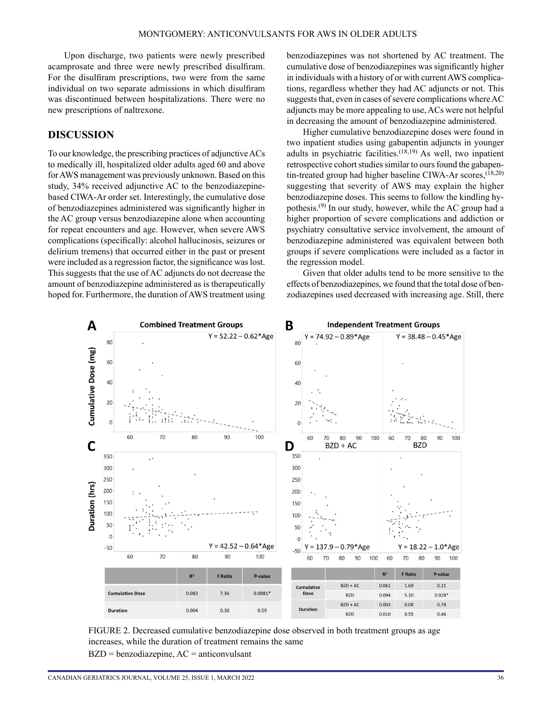Upon discharge, two patients were newly prescribed acamprosate and three were newly prescribed disulfiram. For the disulfiram prescriptions, two were from the same individual on two separate admissions in which disulfiram was discontinued between hospitalizations. There were no new prescriptions of naltrexone.

## **DISCUSSION**

To our knowledge, the prescribing practices of adjunctive ACs to medically ill, hospitalized older adults aged 60 and above for AWS management was previously unknown. Based on this study, 34% received adjunctive AC to the benzodiazepinebased CIWA-Ar order set. Interestingly, the cumulative dose of benzodiazepines administered was significantly higher in the AC group versus benzodiazepine alone when accounting for repeat encounters and age. However, when severe AWS complications (specifically: alcohol hallucinosis, seizures or delirium tremens) that occurred either in the past or present were included as a regression factor, the significance was lost. This suggests that the use of AC adjuncts do not decrease the amount of benzodiazepine administered as is therapeutically hoped for. Furthermore, the duration of AWS treatment using benzodiazepines was not shortened by AC treatment. The cumulative dose of benzodiazepines was significantly higher in individuals with a history of or with current AWS complications, regardless whether they had AC adjuncts or not. This suggests that, even in cases of severe complications where AC adjuncts may be more appealing to use, ACs were not helpful in decreasing the amount of benzodiazepine administered.

Higher cumulative benzodiazepine doses were found in two inpatient studies using gabapentin adjuncts in younger adults in psychiatric facilities. $(18,19)$  As well, two inpatient retrospective cohort studies similar to ours found the gabapentin-treated group had higher baseline CIWA-Ar scores,<sup>(18,20)</sup> suggesting that severity of AWS may explain the higher benzodiazepine doses. This seems to follow the kindling hypothesis.(9) In our study, however, while the AC group had a higher proportion of severe complications and addiction or psychiatry consultative service involvement, the amount of benzodiazepine administered was equivalent between both groups if severe complications were included as a factor in the regression model.

Given that older adults tend to be more sensitive to the effects of benzodiazepines, we found that the total dose of benzodiazepines used decreased with increasing age. Still, there



FIGURE 2. Decreased cumulative benzodiazepine dose observed in both treatment groups as age increases, while the duration of treatment remains the same  $BZD = benzodiazepine, AC = anticonvulsant$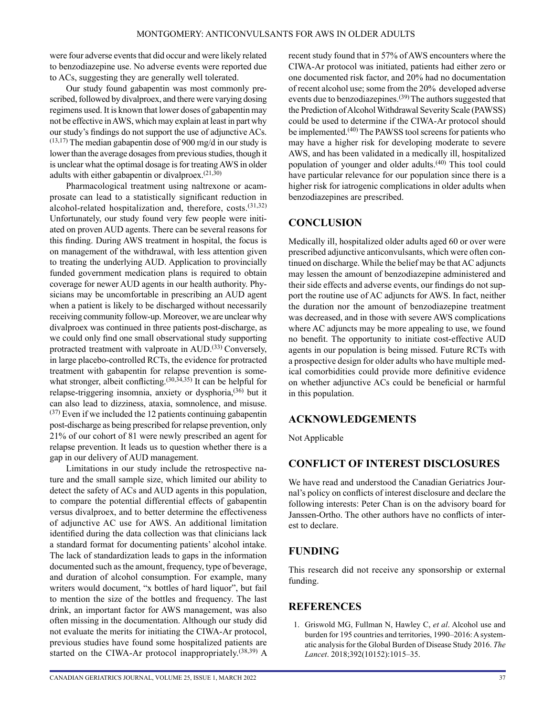were four adverse events that did occur and were likely related to benzodiazepine use. No adverse events were reported due to ACs, suggesting they are generally well tolerated.

Our study found gabapentin was most commonly prescribed, followed by divalproex, and there were varying dosing regimens used. It is known that lower doses of gabapentin may not be effective in AWS, which may explain at least in part why our study's findings do not support the use of adjunctive ACs.  $(13,17)$  The median gabapentin dose of 900 mg/d in our study is lower than the average dosages from previous studies, though it is unclear what the optimal dosage is for treating AWS in older adults with either gabapentin or divalproex.(21,30)

Pharmacological treatment using naltrexone or acamprosate can lead to a statistically significant reduction in alcohol-related hospitalization and, therefore, costs.(31,32) Unfortunately, our study found very few people were initiated on proven AUD agents. There can be several reasons for this finding. During AWS treatment in hospital, the focus is on management of the withdrawal, with less attention given to treating the underlying AUD. Application to provincially funded government medication plans is required to obtain coverage for newer AUD agents in our health authority. Physicians may be uncomfortable in prescribing an AUD agent when a patient is likely to be discharged without necessarily receiving community follow-up. Moreover, we are unclear why divalproex was continued in three patients post-discharge, as we could only find one small observational study supporting protracted treatment with valproate in AUD.<sup>(33)</sup> Conversely, in large placebo-controlled RCTs, the evidence for protracted treatment with gabapentin for relapse prevention is somewhat stronger, albeit conflicting.<sup>(30,34,35)</sup> It can be helpful for relapse-triggering insomnia, anxiety or dysphoria,<sup>(36)</sup> but it can also lead to dizziness, ataxia, somnolence, and misuse.  $(37)$  Even if we included the 12 patients continuing gabapentin post-discharge as being prescribed for relapse prevention, only 21% of our cohort of 81 were newly prescribed an agent for relapse prevention. It leads us to question whether there is a gap in our delivery of AUD management.

Limitations in our study include the retrospective nature and the small sample size, which limited our ability to detect the safety of ACs and AUD agents in this population, to compare the potential differential effects of gabapentin versus divalproex, and to better determine the effectiveness of adjunctive AC use for AWS. An additional limitation identified during the data collection was that clinicians lack a standard format for documenting patients' alcohol intake. The lack of standardization leads to gaps in the information documented such as the amount, frequency, type of beverage, and duration of alcohol consumption. For example, many writers would document, "x bottles of hard liquor", but fail to mention the size of the bottles and frequency. The last drink, an important factor for AWS management, was also often missing in the documentation. Although our study did not evaluate the merits for initiating the CIWA-Ar protocol, previous studies have found some hospitalized patients are started on the CIWA-Ar protocol inappropriately.<sup>(38,39)</sup> A recent study found that in 57% of AWS encounters where the CIWA-Ar protocol was initiated, patients had either zero or one documented risk factor, and 20% had no documentation of recent alcohol use; some from the 20% developed adverse events due to benzodiazepines.<sup>(39)</sup> The authors suggested that the Prediction of Alcohol Withdrawal Severity Scale (PAWSS) could be used to determine if the CIWA-Ar protocol should be implemented.<sup>(40)</sup> The PAWSS tool screens for patients who may have a higher risk for developing moderate to severe AWS, and has been validated in a medically ill, hospitalized population of younger and older adults.(40) This tool could have particular relevance for our population since there is a higher risk for iatrogenic complications in older adults when benzodiazepines are prescribed.

## **CONCLUSION**

Medically ill, hospitalized older adults aged 60 or over were prescribed adjunctive anticonvulsants, which were often continued on discharge. While the belief may be that AC adjuncts may lessen the amount of benzodiazepine administered and their side effects and adverse events, our findings do not support the routine use of AC adjuncts for AWS. In fact, neither the duration nor the amount of benzodiazepine treatment was decreased, and in those with severe AWS complications where AC adjuncts may be more appealing to use, we found no benefit. The opportunity to initiate cost-effective AUD agents in our population is being missed. Future RCTs with a prospective design for older adults who have multiple medical comorbidities could provide more definitive evidence on whether adjunctive ACs could be beneficial or harmful in this population.

## **ACKNOWLEDGEMENTS**

Not Applicable

# **CONFLICT OF INTEREST DISCLOSURES**

We have read and understood the Canadian Geriatrics Journal's policy on conflicts of interest disclosure and declare the following interests: Peter Chan is on the advisory board for Janssen-Ortho. The other authors have no conflicts of interest to declare.

## **FUNDING**

This research did not receive any sponsorship or external funding.

## **REFERENCES**

1. Griswold MG, Fullman N, Hawley C, *et al*. Alcohol use and burden for 195 countries and territories, 1990–2016: A systematic analysis for the Global Burden of Disease Study 2016. *The Lancet*. 2018;392(10152):1015–35.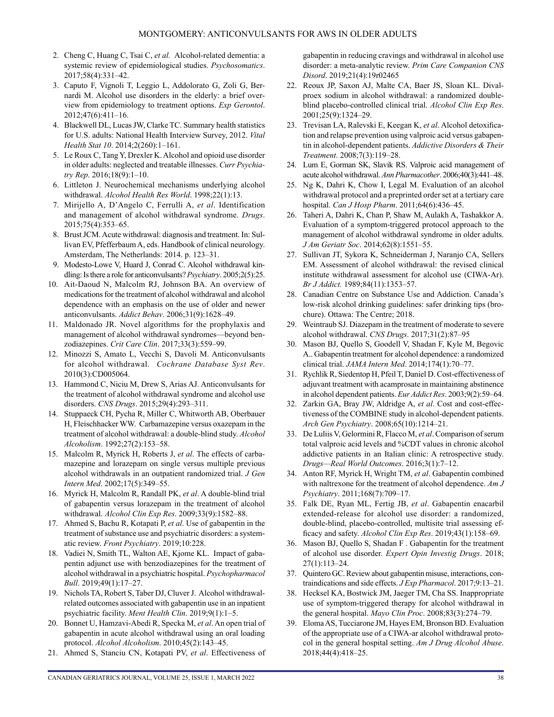- 2. Cheng C, Huang C, Tsai C, *et al.* Alcohol-related dementia: a systemic review of epidemiological studies. *Psychosomatics*. 2017;58(4):331–42.
- 3. Caputo F, Vignoli T, Leggio L, Addolorato G, Zoli G, Bernardi M. Alcohol use disorders in the elderly: a brief overview from epidemiology to treatment options. *Exp Gerontol*. 2012;47(6):411–16.
- 4. Blackwell DL, Lucas JW, Clarke TC. Summary health statistics for U.S. adults: National Health Interview Survey, 2012. *Vital Health Stat 10*. 2014;2(260):1–161.
- 5. Le Roux C, Tang Y, Drexler K. Alcohol and opioid use disorder in older adults: neglected and treatable illnesses. *Curr Psychiatry Rep*. 2016;18(9):1–10.
- 6. Littleton J. Neurochemical mechanisms underlying alcohol withdrawal. *Alcohol Health Res World*. 1998;22(1):13.
- 7. Mirijello A, D'Angelo C, Ferrulli A, *et al*. Identification and management of alcohol withdrawal syndrome. *Drugs*. 2015;75(4):353–65.
- 8. Brust JCM. Acute withdrawal: diagnosis and treatment. In: Sullivan EV, Pfefferbaum A, eds. Handbook of clinical neurology. Amsterdam, The Netherlands: 2014. p. 123–31.
- 9. Modesto-Lowe V, Huard J, Conrad C. Alcohol withdrawal kindling: Is there a role for anticonvulsants? *Psychiatry*. 2005;2(5):25.
- 10. Ait-Daoud N, Malcolm RJ, Johnson BA. An overview of medications for the treatment of alcohol withdrawal and alcohol dependence with an emphasis on the use of older and newer anticonvulsants. *Addict Behav*. 2006;31(9):1628–49.
- 11. Maldonado JR. Novel algorithms for the prophylaxis and management of alcohol withdrawal syndromes—beyond benzodiazepines. *Crit Care Clin*. 2017;33(3):559–99.
- 12. Minozzi S, Amato L, Vecchi S, Davoli M. Anticonvulsants for alcohol withdrawal. *Cochrane Database Syst Rev*. 2010(3):CD005064.
- 13. Hammond C, Niciu M, Drew S, Arias AJ. Anticonvulsants for the treatment of alcohol withdrawal syndrome and alcohol use disorders. *CNS Drugs*. 2015;29(4):293–311.
- 14. Stuppaeck CH, Pycha R, Miller C, Whitworth AB, Oberbauer H, Fleischhacker WW. Carbamazepine versus oxazepam in the treatment of alcohol withdrawal: a double-blind study. *Alcohol Alcoholism*. 1992;27(2):153–58.
- 15. Malcolm R, Myrick H, Roberts J, *et al*. The effects of carbamazepine and lorazepam on single versus multiple previous alcohol withdrawals in an outpatient randomized trial. *J Gen Intern Med*. 2002;17(5):349–55.
- 16. Myrick H, Malcolm R, Randall PK, *et al*. A double-blind trial of gabapentin versus lorazepam in the treatment of alcohol withdrawal. *Alcohol Clin Exp Res*. 2009;33(9):1582–88.
- 17. Ahmed S, Bachu R, Kotapati P, *et al*. Use of gabapentin in the treatment of substance use and psychiatric disorders: a systematic review. *Front Psychiatry*. 2019;10:228.
- 18. Vadiei N, Smith TL, Walton AE, Kjome KL. Impact of gabapentin adjunct use with benzodiazepines for the treatment of alcohol withdrawal in a psychiatric hospital. *Psychopharmacol Bull*. 2019;49(1):17–27.
- 19. Nichols TA, Robert S, Taber DJ, Cluver J. Alcohol withdrawalrelated outcomes associated with gabapentin use in an inpatient psychiatric facility. *Ment Health Clin*. 2019;9(1):1–5.
- 20. Bonnet U, Hamzavi-Abedi R, Specka M, *et al*. An open trial of gabapentin in acute alcohol withdrawal using an oral loading protocol. *Alcohol Alcoholism*. 2010;45(2):143–45.
- 21. Ahmed S, Stanciu CN, Kotapati PV, *et al*. Effectiveness of

- gabapentin in reducing cravings and withdrawal in alcohol use disorder: a meta-analytic review. *Prim Care Companion CNS Disord*. 2019;21(4):19r02465
- 22. Reoux JP, Saxon AJ, Malte CA, Baer JS, Sloan KL. Divalproex sodium in alcohol withdrawal: a randomized doubleblind placebo-controlled clinical trial. *Alcohol Clin Exp Res*. 2001;25(9):1324–29.
- 23. Trevisan LA, Ralevski E, Keegan K, *et al*. Alcohol detoxification and relapse prevention using valproic acid versus gabapentin in alcohol-dependent patients. *Addictive Disorders & Their Treatment*. 2008;7(3):119–28.
- 24. Lum E, Gorman SK, Slavik RS. Valproic acid management of acute alcohol withdrawal. *Ann Pharmacother*. 2006;40(3):441–48.
- 25. Ng K, Dahri K, Chow I, Legal M. Evaluation of an alcohol withdrawal protocol and a preprinted order set at a tertiary care hospital. *Can J Hosp Pharm*. 2011;64(6):436–45.
- 26. Taheri A, Dahri K, Chan P, Shaw M, Aulakh A, Tashakkor A. Evaluation of a symptom-triggered protocol approach to the management of alcohol withdrawal syndrome in older adults. *J Am Geriatr Soc*. 2014;62(8):1551–55.
- 27. Sullivan JT, Sykora K, Schneiderman J, Naranjo CA, Sellers EM. Assessment of alcohol withdrawal: the revised clinical institute withdrawal assessment for alcohol use (CIWA-Ar). *Br J Addict.* 1989;84(11):1353–57.
- 28. Canadian Centre on Substance Use and Addiction. Canada's low-risk alcohol drinking guidelines: safer drinking tips (brochure). Ottawa: The Centre; 2018.
- 29. Weintraub SJ. Diazepam in the treatment of moderate to severe alcohol withdrawal. *CNS Drugs*. 2017;31(2):87–95
- 30. Mason BJ, Quello S, Goodell V, Shadan F, Kyle M, Begovic A.. Gabapentin treatment for alcohol dependence: a randomized clinical trial. *JAMA Intern Med*. 2014;174(1):70–77.
- 31. Rychlik R, Siedentop H, Pfeil T, Daniel D. Cost-effectiveness of adjuvant treatment with acamprosate in maintaining abstinence in alcohol dependent patients. *Eur Addict Res*. 2003;9(2):59–64.
- 32. Zarkin GA, Bray JW, Aldridge A, *et al*. Cost and cost-effectiveness of the COMBINE study in alcohol-dependent patients. *Arch Gen Psychiatry*. 2008;65(10):1214–21.
- 33. De Luliis V, Gelormini R, Flacco M, *et al*. Comparison of serum total valproic acid levels and %CDT values in chronic alcohol addictive patients in an Italian clinic: A retrospective study. *Drugs—Real World Outcomes*. 2016;3(1):7–12.
- 34. Anton RF, Myrick H, Wright TM, *et al*. Gabapentin combined with naltrexone for the treatment of alcohol dependence. *Am J Psychiatry*. 2011;168(7):709–17.
- 35. Falk DE, Ryan ML, Fertig JB, *et al*. Gabapentin enacarbil extended-release for alcohol use disorder: a randomized, double-blind, placebo-controlled, multisite trial assessing efficacy and safety. *Alcohol Clin Exp Res*. 2019;43(1):158–69.
- 36. Mason BJ, Quello S, Shadan F . Gabapentin for the treatment of alcohol use disorder. *Expert Opin Investig Drugs*. 2018; 27(1):113–24.
- 37. Quintero GC. Review about gabapentin misuse, interactions, contraindications and side effects. *J Exp Pharmacol*. 2017;9:13–21.
- 38. Hecksel KA, Bostwick JM, Jaeger TM, Cha SS. Inappropriate use of symptom-triggered therapy for alcohol withdrawal in the general hospital. *Mayo Clin Proc*. 2008;83(3):274–79.
- 39. Eloma AS, Tucciarone JM, Hayes EM, Bronson BD. Evaluation of the appropriate use of a CIWA-ar alcohol withdrawal protocol in the general hospital setting. *Am J Drug Alcohol Abuse*. 2018;44(4):418–25.